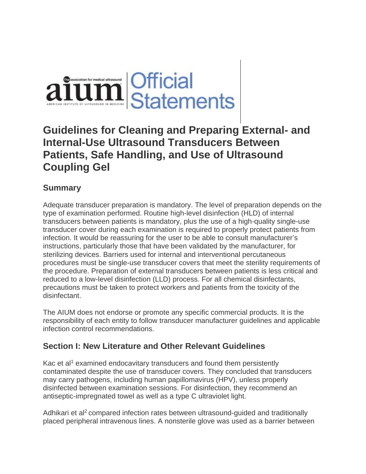

# **Guidelines for Cleaning and Preparing External- and Internal-Use Ultrasound Transducers Between Patients, Safe Handling, and Use of Ultrasound Coupling Gel**

# **Summary**

Adequate transducer preparation is mandatory. The level of preparation depends on the type of examination performed. Routine high-level disinfection (HLD) of internal transducers between patients is mandatory, plus the use of a high-quality single-use transducer cover during each examination is required to properly protect patients from infection. It would be reassuring for the user to be able to consult manufacturer's instructions, particularly those that have been validated by the manufacturer, for sterilizing devices. Barriers used for internal and interventional percutaneous procedures must be single-use transducer covers that meet the sterility requirements of the procedure. Preparation of external transducers between patients is less critical and reduced to a low-level disinfection (LLD) process. For all chemical disinfectants, precautions must be taken to protect workers and patients from the toxicity of the disinfectant.

The AIUM does not endorse or promote any specific commercial products. It is the responsibility of each entity to follow transducer manufacturer guidelines and applicable infection control recommendations.

## **Section I: New Literature and Other Relevant Guidelines**

Kac et al<sup>1</sup> examined endocavitary transducers and found them persistently contaminated despite the use of transducer covers. They concluded that transducers may carry pathogens, including human papillomavirus (HPV), unless properly disinfected between examination sessions. For disinfection, they recommend an antiseptic-impregnated towel as well as a type C ultraviolet light.

Adhikari et al<sup>2</sup> compared infection rates between ultrasound-quided and traditionally placed peripheral intravenous lines. A nonsterile glove was used as a barrier between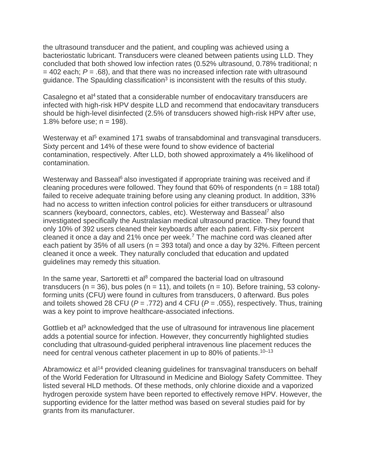the ultrasound transducer and the patient, and coupling was achieved using a bacteriostatic lubricant. Transducers were cleaned between patients using LLD. They concluded that both showed low infection rates (0.52% ultrasound, 0.78% traditional; n  $=$  402 each;  $P = .68$ ), and that there was no increased infection rate with ultrasound guidance. The Spaulding classification<sup>3</sup> is inconsistent with the results of this study.

Casalegno et al<sup>4</sup> stated that a considerable number of endocavitary transducers are infected with high-risk HPV despite LLD and recommend that endocavitary transducers should be high-level disinfected (2.5% of transducers showed high-risk HPV after use, 1.8% before use;  $n = 198$ ).

Westerway et al<sup>5</sup> examined 171 swabs of transabdominal and transvaginal transducers. Sixty percent and 14% of these were found to show evidence of bacterial contamination, respectively. After LLD, both showed approximately a 4% likelihood of contamination.

Westerway and Basseal<sup>6</sup> also investigated if appropriate training was received and if cleaning procedures were followed. They found that  $60\%$  of respondents ( $n = 188$  total) failed to receive adequate training before using any cleaning product. In addition, 33% had no access to written infection control policies for either transducers or ultrasound scanners (keyboard, connectors, cables, etc). Westerway and Basseal<sup>7</sup> also investigated specifically the Australasian medical ultrasound practice. They found that only 10% of 392 users cleaned their keyboards after each patient. Fifty-six percent cleaned it once a day and 21% once per week.<sup>7</sup> The machine cord was cleaned after each patient by 35% of all users ( $n = 393$  total) and once a day by 32%. Fifteen percent cleaned it once a week. They naturally concluded that education and updated guidelines may remedy this situation.

In the same year, Sartoretti et al<sup>8</sup> compared the bacterial load on ultrasound transducers (n = 36), bus poles (n = 11), and toilets (n = 10). Before training, 53 colonyforming units (CFU) were found in cultures from transducers, 0 afterward. Bus poles and toilets showed 28 CFU (*P* = .772) and 4 CFU (*P* = .055), respectively. Thus, training was a key point to improve healthcare-associated infections.

Gottlieb et al<sup>9</sup> acknowledged that the use of ultrasound for intravenous line placement adds a potential source for infection. However, they concurrently highlighted studies concluding that ultrasound-guided peripheral intravenous line placement reduces the need for central venous catheter placement in up to 80% of patients.<sup>10–13</sup>

Abramowicz et al<sup>14</sup> provided cleaning guidelines for transvaginal transducers on behalf of the World Federation for Ultrasound in Medicine and Biology Safety Committee. They listed several HLD methods. Of these methods, only chlorine dioxide and a vaporized hydrogen peroxide system have been reported to effectively remove HPV. However, the supporting evidence for the latter method was based on several studies paid for by grants from its manufacturer.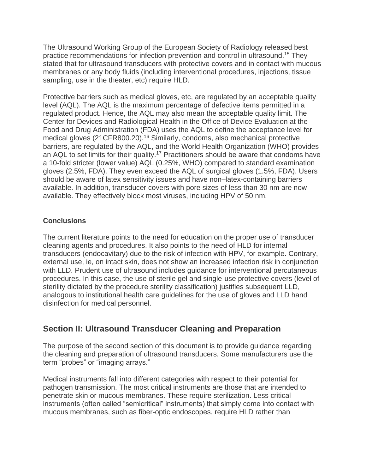The Ultrasound Working Group of the European Society of Radiology released best practice recommendations for infection prevention and control in ultrasound. <sup>15</sup> They stated that for ultrasound transducers with protective covers and in contact with mucous membranes or any body fluids (including interventional procedures, injections, tissue sampling, use in the theater, etc) require HLD.

Protective barriers such as medical gloves, etc, are regulated by an acceptable quality level (AQL). The AQL is the maximum percentage of defective items permitted in a regulated product. Hence, the AQL may also mean the acceptable quality limit. The Center for Devices and Radiological Health in the Office of Device Evaluation at the Food and Drug Administration (FDA) uses the AQL to define the acceptance level for medical gloves (21CFR800.20).<sup>16</sup> Similarly, condoms, also mechanical protective barriers, are regulated by the AQL, and the World Health Organization (WHO) provides an AQL to set limits for their quality.<sup>17</sup> Practitioners should be aware that condoms have a 10-fold stricter (lower value) AQL (0.25%, WHO) compared to standard examination gloves (2.5%, FDA). They even exceed the AQL of surgical gloves (1.5%, FDA). Users should be aware of latex sensitivity issues and have non–latex-containing barriers available. In addition, transducer covers with pore sizes of less than 30 nm are now available. They effectively block most viruses, including HPV of 50 nm.

## **Conclusions**

The current literature points to the need for education on the proper use of transducer cleaning agents and procedures. It also points to the need of HLD for internal transducers (endocavitary) due to the risk of infection with HPV, for example. Contrary, external use, ie, on intact skin, does not show an increased infection risk in conjunction with LLD. Prudent use of ultrasound includes guidance for interventional percutaneous procedures. In this case, the use of sterile gel and single-use protective covers (level of sterility dictated by the procedure sterility classification) justifies subsequent LLD, analogous to institutional health care guidelines for the use of gloves and LLD hand disinfection for medical personnel.

# **Section II: Ultrasound Transducer Cleaning and Preparation**

The purpose of the second section of this document is to provide guidance regarding the cleaning and preparation of ultrasound transducers. Some manufacturers use the term "probes" or "imaging arrays."

Medical instruments fall into different categories with respect to their potential for pathogen transmission. The most critical instruments are those that are intended to penetrate skin or mucous membranes. These require sterilization. Less critical instruments (often called "semicritical" instruments) that simply come into contact with mucous membranes, such as fiber-optic endoscopes, require HLD rather than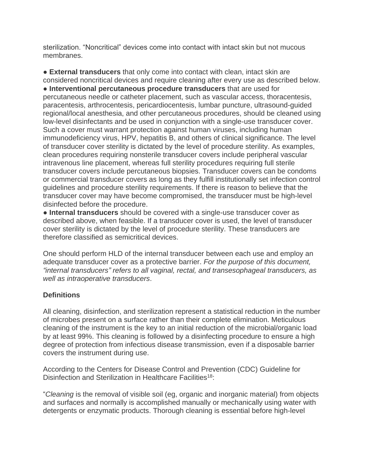sterilization. "Noncritical" devices come into contact with intact skin but not mucous membranes.

● **External transducers** that only come into contact with clean, intact skin are considered noncritical devices and require cleaning after every use as described below. ● **Interventional percutaneous procedure transducers** that are used for percutaneous needle or catheter placement, such as vascular access, thoracentesis, paracentesis, arthrocentesis, pericardiocentesis, lumbar puncture, ultrasound-guided regional/local anesthesia, and other percutaneous procedures, should be cleaned using low-level disinfectants and be used in conjunction with a single-use transducer cover. Such a cover must warrant protection against human viruses, including human immunodeficiency virus, HPV, hepatitis B, and others of clinical significance. The level of transducer cover sterility is dictated by the level of procedure sterility. As examples, clean procedures requiring nonsterile transducer covers include peripheral vascular intravenous line placement, whereas full sterility procedures requiring full sterile transducer covers include percutaneous biopsies. Transducer covers can be condoms or commercial transducer covers as long as they fulfill institutionally set infection control guidelines and procedure sterility requirements. If there is reason to believe that the transducer cover may have become compromised, the transducer must be high-level disinfected before the procedure.

● **Internal transducers** should be covered with a single-use transducer cover as described above, when feasible. If a transducer cover is used, the level of transducer cover sterility is dictated by the level of procedure sterility. These transducers are therefore classified as semicritical devices.

One should perform HLD of the internal transducer between each use and employ an adequate transducer cover as a protective barrier. *For the purpose of this document, "internal transducers" refers to all vaginal, rectal, and transesophageal transducers, as well as intraoperative transducers*.

## **Definitions**

All cleaning, disinfection, and sterilization represent a statistical reduction in the number of microbes present on a surface rather than their complete elimination. Meticulous cleaning of the instrument is the key to an initial reduction of the microbial/organic load by at least 99%. This cleaning is followed by a disinfecting procedure to ensure a high degree of protection from infectious disease transmission, even if a disposable barrier covers the instrument during use.

According to the Centers for Disease Control and Prevention (CDC) Guideline for Disinfection and Sterilization in Healthcare Facilities<sup>18</sup>:

"*Cleaning* is the removal of visible soil (eg, organic and inorganic material) from objects and surfaces and normally is accomplished manually or mechanically using water with detergents or enzymatic products. Thorough cleaning is essential before high-level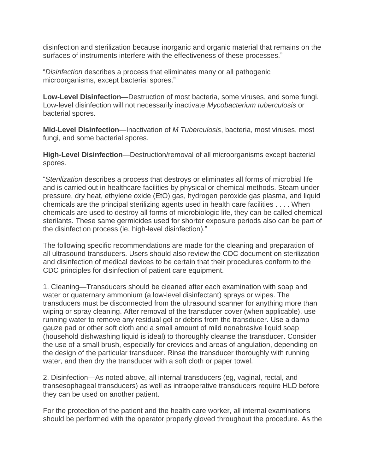disinfection and sterilization because inorganic and organic material that remains on the surfaces of instruments interfere with the effectiveness of these processes."

"*Disinfection* describes a process that eliminates many or all pathogenic microorganisms, except bacterial spores."

**Low-Level Disinfection**—Destruction of most bacteria, some viruses, and some fungi. Low-level disinfection will not necessarily inactivate *Mycobacterium tuberculosis* or bacterial spores.

**Mid-Level Disinfection**—Inactivation of *M Tuberculosis*, bacteria, most viruses, most fungi, and some bacterial spores.

**High-Level Disinfection**—Destruction/removal of all microorganisms except bacterial spores.

"*Sterilization* describes a process that destroys or eliminates all forms of microbial life and is carried out in healthcare facilities by physical or chemical methods. Steam under pressure, dry heat, ethylene oxide (EtO) gas, hydrogen peroxide gas plasma, and liquid chemicals are the principal sterilizing agents used in health care facilities . . . . When chemicals are used to destroy all forms of microbiologic life, they can be called chemical sterilants. These same germicides used for shorter exposure periods also can be part of the disinfection process (ie, high-level disinfection)."

The following specific recommendations are made for the cleaning and preparation of all ultrasound transducers. Users should also review the CDC document on sterilization and disinfection of medical devices to be certain that their procedures conform to the CDC principles for disinfection of patient care equipment.

1. Cleaning—Transducers should be cleaned after each examination with soap and water or quaternary ammonium (a low-level disinfectant) sprays or wipes. The transducers must be disconnected from the ultrasound scanner for anything more than wiping or spray cleaning. After removal of the transducer cover (when applicable), use running water to remove any residual gel or debris from the transducer. Use a damp gauze pad or other soft cloth and a small amount of mild nonabrasive liquid soap (household dishwashing liquid is ideal) to thoroughly cleanse the transducer. Consider the use of a small brush, especially for crevices and areas of angulation, depending on the design of the particular transducer. Rinse the transducer thoroughly with running water, and then dry the transducer with a soft cloth or paper towel.

2. Disinfection—As noted above, all internal transducers (eg, vaginal, rectal, and transesophageal transducers) as well as intraoperative transducers require HLD before they can be used on another patient.

For the protection of the patient and the health care worker, all internal examinations should be performed with the operator properly gloved throughout the procedure. As the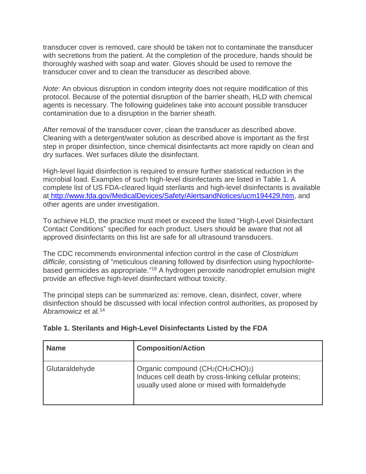transducer cover is removed, care should be taken not to contaminate the transducer with secretions from the patient. At the completion of the procedure, hands should be thoroughly washed with soap and water. Gloves should be used to remove the transducer cover and to clean the transducer as described above.

*Note*: An obvious disruption in condom integrity does not require modification of this protocol. Because of the potential disruption of the barrier sheath, HLD with chemical agents is necessary. The following guidelines take into account possible transducer contamination due to a disruption in the barrier sheath.

After removal of the transducer cover, clean the transducer as described above. Cleaning with a detergent/water solution as described above is important as the first step in proper disinfection, since chemical disinfectants act more rapidly on clean and dry surfaces. Wet surfaces dilute the disinfectant.

High-level liquid disinfection is required to ensure further statistical reduction in the microbial load. Examples of such high-level disinfectants are listed in Table 1. A complete list of US FDA-cleared liquid sterilants and high-level disinfectants is available at [http://www.fda.gov/MedicalDevices/Safety/AlertsandNotices/ucm194429.htm,](https://www.google.com/url?q=http://www.fda.gov/MedicalDevices/Safety/AlertsandNotices/ucm194429.htm&sa=D&ust=1540557465957000) and other agents are under investigation.

To achieve HLD, the practice must meet or exceed the listed "High-Level Disinfectant Contact Conditions" specified for each product. Users should be aware that not all approved disinfectants on this list are safe for all ultrasound transducers.

The CDC recommends environmental infection control in the case of *Clostridium difficile*, consisting of "meticulous cleaning followed by disinfection using hypochloritebased germicides as appropriate."<sup>18</sup> A hydrogen peroxide nanodroplet emulsion might provide an effective high-level disinfectant without toxicity.

The principal steps can be summarized as: remove, clean, disinfect, cover, where disinfection should be discussed with local infection control authorities, as proposed by Abramowicz et al.<sup>14</sup>

| <b>Name</b>    | <b>Composition/Action</b>                                                                                                                                                         |
|----------------|-----------------------------------------------------------------------------------------------------------------------------------------------------------------------------------|
| Glutaraldehyde | Organic compound (CH <sub>2</sub> (CH <sub>2</sub> CHO) <sub>2</sub> )<br>Induces cell death by cross-linking cellular proteins;<br>usually used alone or mixed with formaldehyde |

#### **Table 1. Sterilants and High-Level Disinfectants Listed by the FDA**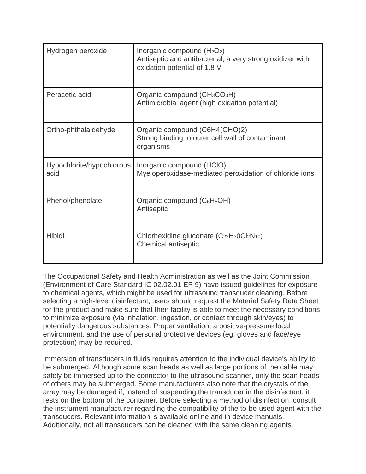| Hydrogen peroxide                 | Inorganic compound $(H_2O_2)$<br>Antiseptic and antibacterial; a very strong oxidizer with<br>oxidation potential of 1.8 V |
|-----------------------------------|----------------------------------------------------------------------------------------------------------------------------|
| Peracetic acid                    | Organic compound $(CH_3CO_3H)$<br>Antimicrobial agent (high oxidation potential)                                           |
| Ortho-phthalaldehyde              | Organic compound (C6H4(CHO)2)<br>Strong binding to outer cell wall of contaminant<br>organisms                             |
| Hypochlorite/hypochlorous<br>acid | Inorganic compound (HCIO)<br>Myeloperoxidase-mediated peroxidation of chloride ions                                        |
| Phenol/phenolate                  | Organic compound (C <sub>6</sub> H <sub>5</sub> OH)<br>Antiseptic                                                          |
| <b>Hibidil</b>                    | Chlorhexidine gluconate $(C_{22}H_3OCl_2N_{10})$<br>Chemical antiseptic                                                    |

The Occupational Safety and Health Administration as well as the Joint Commission (Environment of Care Standard IC 02.02.01 EP 9) have issued guidelines for exposure to chemical agents, which might be used for ultrasound transducer cleaning. Before selecting a high-level disinfectant, users should request the Material Safety Data Sheet for the product and make sure that their facility is able to meet the necessary conditions to minimize exposure (via inhalation, ingestion, or contact through skin/eyes) to potentially dangerous substances. Proper ventilation, a positive-pressure local environment, and the use of personal protective devices (eg, gloves and face/eye protection) may be required.

Immersion of transducers in fluids requires attention to the individual device's ability to be submerged. Although some scan heads as well as large portions of the cable may safely be immersed up to the connector to the ultrasound scanner, only the scan heads of others may be submerged. Some manufacturers also note that the crystals of the array may be damaged if, instead of suspending the transducer in the disinfectant, it rests on the bottom of the container. Before selecting a method of disinfection, consult the instrument manufacturer regarding the compatibility of the to-be-used agent with the transducers. Relevant information is available online and in device manuals. Additionally, not all transducers can be cleaned with the same cleaning agents.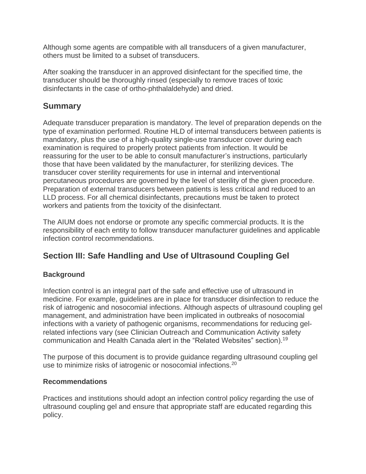Although some agents are compatible with all transducers of a given manufacturer, others must be limited to a subset of transducers.

After soaking the transducer in an approved disinfectant for the specified time, the transducer should be thoroughly rinsed (especially to remove traces of toxic disinfectants in the case of ortho-phthalaldehyde) and dried.

## **Summary**

Adequate transducer preparation is mandatory. The level of preparation depends on the type of examination performed. Routine HLD of internal transducers between patients is mandatory, plus the use of a high-quality single-use transducer cover during each examination is required to properly protect patients from infection. It would be reassuring for the user to be able to consult manufacturer's instructions, particularly those that have been validated by the manufacturer, for sterilizing devices. The transducer cover sterility requirements for use in internal and interventional percutaneous procedures are governed by the level of sterility of the given procedure. Preparation of external transducers between patients is less critical and reduced to an LLD process. For all chemical disinfectants, precautions must be taken to protect workers and patients from the toxicity of the disinfectant.

The AIUM does not endorse or promote any specific commercial products. It is the responsibility of each entity to follow transducer manufacturer guidelines and applicable infection control recommendations.

# **Section III: Safe Handling and Use of Ultrasound Coupling Gel**

## **Background**

Infection control is an integral part of the safe and effective use of ultrasound in medicine. For example, guidelines are in place for transducer disinfection to reduce the risk of iatrogenic and nosocomial infections. Although aspects of ultrasound coupling gel management, and administration have been implicated in outbreaks of nosocomial infections with a variety of pathogenic organisms, recommendations for reducing gelrelated infections vary (see Clinician Outreach and Communication Activity safety communication and Health Canada alert in the "Related Websites" section).<sup>19</sup>

The purpose of this document is to provide guidance regarding ultrasound coupling gel use to minimize risks of iatrogenic or nosocomial infections.<sup>20</sup>

## **Recommendations**

Practices and institutions should adopt an infection control policy regarding the use of ultrasound coupling gel and ensure that appropriate staff are educated regarding this policy.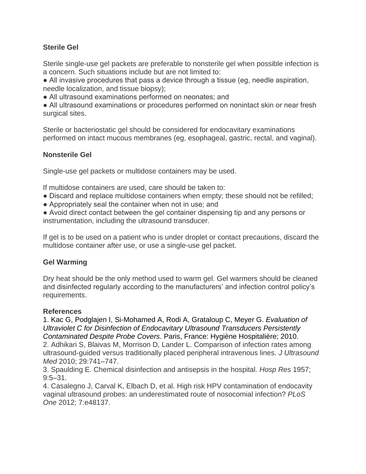## **Sterile Gel**

Sterile single-use gel packets are preferable to nonsterile gel when possible infection is a concern. Such situations include but are not limited to:

● All invasive procedures that pass a device through a tissue (eg, needle aspiration, needle localization, and tissue biopsy);

● All ultrasound examinations performed on neonates; and

• All ultrasound examinations or procedures performed on nonintact skin or near fresh surgical sites.

Sterile or bacteriostatic gel should be considered for endocavitary examinations performed on intact mucous membranes (eg, esophageal, gastric, rectal, and vaginal).

### **Nonsterile Gel**

Single-use gel packets or multidose containers may be used.

If multidose containers are used, care should be taken to:

- Discard and replace multidose containers when empty; these should not be refilled;
- Appropriately seal the container when not in use; and

● Avoid direct contact between the gel container dispensing tip and any persons or instrumentation, including the ultrasound transducer.

If gel is to be used on a patient who is under droplet or contact precautions, discard the multidose container after use, or use a single-use gel packet.

#### **Gel Warming**

Dry heat should be the only method used to warm gel. Gel warmers should be cleaned and disinfected regularly according to the manufacturers' and infection control policy's requirements.

#### **References**

1. [Kac G, Podglajen I, Si-Mohamed A, Rodi A, Grataloup C, Meyer G.](https://www.google.com/url?q=http://www.ncbi.nlm.nih.gov/pubmed/?term%3DKac%2BG%252C%2BPodglajen%2BI%252C%2BSi-Mohamed%2BA%252C%2BRodi%2BA%252C%2BGrataloup%2BC%252C%2BMeyer%2BG.&sa=D&ust=1540557465966000) *[Evaluation of](https://www.google.com/url?q=http://www.ncbi.nlm.nih.gov/pubmed/?term%3DKac%2BG%252C%2BPodglajen%2BI%252C%2BSi-Mohamed%2BA%252C%2BRodi%2BA%252C%2BGrataloup%2BC%252C%2BMeyer%2BG.&sa=D&ust=1540557465966000)  [Ultraviolet C for Disinfection of Endocavitary Ultrasound Transducers Persistently](https://www.google.com/url?q=http://www.ncbi.nlm.nih.gov/pubmed/?term%3DKac%2BG%252C%2BPodglajen%2BI%252C%2BSi-Mohamed%2BA%252C%2BRodi%2BA%252C%2BGrataloup%2BC%252C%2BMeyer%2BG.&sa=D&ust=1540557465967000)  [Contaminated Despite Probe Covers](https://www.google.com/url?q=http://www.ncbi.nlm.nih.gov/pubmed/?term%3DKac%2BG%252C%2BPodglajen%2BI%252C%2BSi-Mohamed%2BA%252C%2BRodi%2BA%252C%2BGrataloup%2BC%252C%2BMeyer%2BG.&sa=D&ust=1540557465967000)*[. Paris, France: Hygiène Hospitalière;](https://www.google.com/url?q=http://www.ncbi.nlm.nih.gov/pubmed/?term%3DKac%2BG%252C%2BPodglajen%2BI%252C%2BSi-Mohamed%2BA%252C%2BRodi%2BA%252C%2BGrataloup%2BC%252C%2BMeyer%2BG.&sa=D&ust=1540557465967000) 2010. 2. Adhikari S, Blaivas M, Morrison D, Lander L. Comparison of infection rates among

ultrasound‐guided versus traditionally placed peripheral intravenous lines. *J Ultrasound Med* 2010; 29:741–747.

3. Spaulding E. Chemical disinfection and antisepsis in the hospital. *Hosp Res* 1957; 9:5–31.

4. Casalegno J, Carval K, Elbach D, et al. High risk HPV contamination of endocavity vaginal ultrasound probes: an underestimated route of nosocomial infection? *PLoS One* 2012; 7:e48137.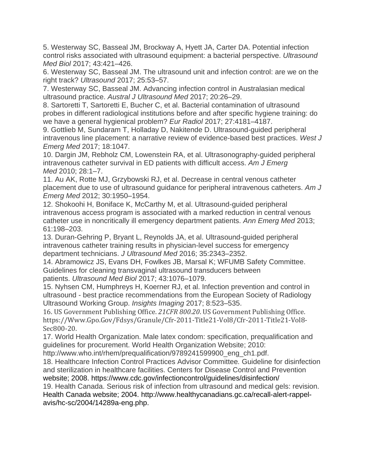5. Westerway SC, Basseal JM, Brockway A, Hyett JA, Carter DA. Potential infection control risks associated with ultrasound equipment: a bacterial perspective. *Ultrasound Med Biol* 2017; 43:421–426.

6. Westerway SC, Basseal JM. The ultrasound unit and infection control: are we on the right track? *Ultrasound* 2017; 25:53–57.

7. Westerway SC, Basseal JM. Advancing infection control in Australasian medical ultrasound practice. *Austral J Ultrasound Med* 2017; 20:26–29.

8. Sartoretti T, Sartoretti E, Bucher C, et al. Bacterial contamination of ultrasound probes in different radiological institutions before and after specific hygiene training: do we have a general hygienical problem? *Eur Radiol* 2017; 27:4181–4187.

9. Gottlieb M, Sundaram T, Holladay D, Nakitende D. Ultrasound-guided peripheral intravenous line placement: a narrative review of evidence-based best practices. *West J Emerg Med* 2017; 18:1047.

10. Dargin JM, Rebholz CM, Lowenstein RA, et al. Ultrasonography-guided peripheral intravenous catheter survival in ED patients with difficult access. *Am J Emerg Med* 2010; 28:1–7.

11. Au AK, Rotte MJ, Grzybowski RJ, et al. Decrease in central venous catheter placement due to use of ultrasound guidance for peripheral intravenous catheters. *Am J Emerg Med* 2012; 30:1950–1954.

12. Shokoohi H, Boniface K, McCarthy M, et al. Ultrasound-guided peripheral intravenous access program is associated with a marked reduction in central venous catheter use in noncritically ill emergency department patients. *Ann Emerg Med* 2013; 61:198–203.

13. Duran-Gehring P, Bryant L, Reynolds JA, et al. Ultrasound-guided peripheral intravenous catheter training results in physician-level success for emergency department technicians. *J Ultrasound Med* 2016; 35:2343–2352.

14. Abramowicz JS, Evans DH, Fowlkes JB, Marsal K; WFUMB Safety Committee. Guidelines for cleaning transvaginal ultrasound transducers between patients. *Ultrasound Med Biol* 2017; 43:1076–1079.

15. Nyhsen CM, Humphreys H, Koerner RJ, et al. Infection prevention and control in ultrasound - best practice recommendations from the European Society of Radiology Ultrasound Working Group. *Insights Imaging* 2017; 8:523–535.

16. US Government Publishing Office. *21CFR 800.20*. US Government Publishing Office. https://Www.Gpo.Gov/Fdsys/Granule/Cfr-2011-Title21-Vol8/Cfr-2011-Title21-Vol8- Sec800-20.

17. World Health Organization. Male latex condom: specification, prequalification and guidelines for procurement. World Health Organization Website; 2010:

http://www.who.int/rhem/prequalification/9789241599900\_eng\_ch1.pdf.

18. Healthcare Infection Control Practices Advisor Committee*.* Guideline for disinfection and sterilization in healthcare facilities. Centers for Disease Control and Prevention website; 2008. https://www.cdc.gov/infectioncontrol/guidelines/disinfection/

19. Health Canada. Serious risk of infection from ultrasound and medical gels: revision. Health Canada website; 2004. http://www.healthycanadians.gc.ca/recall-alert-rappelavis/hc-sc/2004/14289a-eng.php.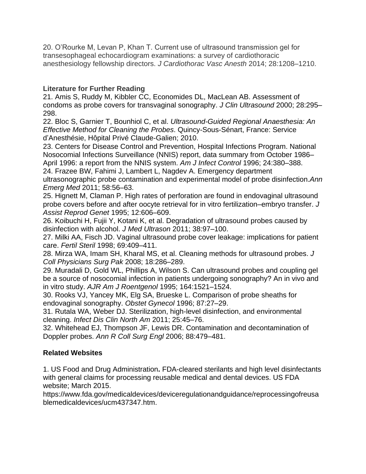20. O'Rourke M, Levan P, Khan T. Current use of ultrasound transmission gel for transesophageal echocardiogram examinations: a survey of cardiothoracic anesthesiology fellowship directors. *J Cardiothorac Vasc Anesth* 2014; 28:1208–1210.

## **Literature for Further Reading**

21. [Amis S, Ruddy M, Kibbler CC, Economides DL, MacLean AB. Assessment of](https://www.google.com/url?q=http://onlinelibrary.wiley.com/doi/10.1002/1097-0096(200007/08)28:6%253C295::AID-JCU5%253E3.0.CO;2-G/abstract&sa=D&ust=1540557465972000)  condoms [as probe covers for transvaginal sonography.](https://www.google.com/url?q=http://onlinelibrary.wiley.com/doi/10.1002/1097-0096(200007/08)28:6%253C295::AID-JCU5%253E3.0.CO;2-G/abstract&sa=D&ust=1540557465972000) *[J Clin Ultrasound](https://www.google.com/url?q=http://onlinelibrary.wiley.com/doi/10.1002/1097-0096(200007/08)28:6%253C295::AID-JCU5%253E3.0.CO;2-G/abstract&sa=D&ust=1540557465972000)* [2000; 28:295–](https://www.google.com/url?q=http://onlinelibrary.wiley.com/doi/10.1002/1097-0096(200007/08)28:6%253C295::AID-JCU5%253E3.0.CO;2-G/abstract&sa=D&ust=1540557465972000) [298.](https://www.google.com/url?q=http://onlinelibrary.wiley.com/doi/10.1002/1097-0096(200007/08)28:6%253C295::AID-JCU5%253E3.0.CO;2-G/abstract&sa=D&ust=1540557465973000)

22. Bloc S, Garnier T, Bounhiol C, et al. *[Ultrasound-Guided Regional Anaesthesia: An](https://www.google.com/url?q=http://www.ncbi.nlm.nih.gov/pubmed/?term%3DBloc%2BS%252C%2BGarnier%2BT%252C%2BBounhiol%2BC%252C%2Bet%2Bal.&sa=D&ust=1540557465973000)  [Effective Method for Cleaning the Probes](https://www.google.com/url?q=http://www.ncbi.nlm.nih.gov/pubmed/?term%3DBloc%2BS%252C%2BGarnier%2BT%252C%2BBounhiol%2BC%252C%2Bet%2Bal.&sa=D&ust=1540557465973000)*. Quincy-Sous-Sénart, France: Service [d'Anesthésie, Hôpital Privé Claude-Galien; 2010.](https://www.google.com/url?q=http://www.ncbi.nlm.nih.gov/pubmed/?term%3DBloc%2BS%252C%2BGarnier%2BT%252C%2BBounhiol%2BC%252C%2Bet%2Bal.&sa=D&ust=1540557465973000)

23. [Centers for Disease Control and Prevention, Hospital Infections Program. National](https://www.google.com/url?q=http://www.ajicjournal.org/article/S0196-6553(96)90026-7/abstract&sa=D&ust=1540557465974000)  [Nosocomial Infections Surveillance \(NNIS\) report, data summary from October 1986–](https://www.google.com/url?q=http://www.ajicjournal.org/article/S0196-6553(96)90026-7/abstract&sa=D&ust=1540557465974000) [April 1996: a report from the NNIS system.](https://www.google.com/url?q=http://www.ajicjournal.org/article/S0196-6553(96)90026-7/abstract&sa=D&ust=1540557465974000) *[Am J Infect Control](https://www.google.com/url?q=http://www.ajicjournal.org/article/S0196-6553(96)90026-7/abstract&sa=D&ust=1540557465974000)* [1996; 24:380–388.](https://www.google.com/url?q=http://www.ajicjournal.org/article/S0196-6553(96)90026-7/abstract&sa=D&ust=1540557465974000)

24. [Frazee BW, Fahimi J, Lambert L, Nagdev A. Emergency department](https://www.google.com/url?q=http://www.annemergmed.com/article/S0196-0644(10)01867-6/abstract&sa=D&ust=1540557465975000)  [ultrasonographic probe contamination and experimental model of probe disinfection.](https://www.google.com/url?q=http://www.annemergmed.com/article/S0196-0644(10)01867-6/abstract&sa=D&ust=1540557465975000)*[Ann](https://www.google.com/url?q=http://www.annemergmed.com/article/S0196-0644(10)01867-6/abstract&sa=D&ust=1540557465975000)  [Emerg Med](https://www.google.com/url?q=http://www.annemergmed.com/article/S0196-0644(10)01867-6/abstract&sa=D&ust=1540557465975000)* [2011; 58:56](https://www.google.com/url?q=http://www.annemergmed.com/article/S0196-0644(10)01867-6/abstract&sa=D&ust=1540557465975000)[–63.](https://www.google.com/url?q=http://www.annemergmed.com/article/S0196-0644(10)01867-6/abstract&sa=D&ust=1540557465976000)

25. [Hignett M, Claman P. High rates of perforation are found in endovaginal ultrasound](https://www.google.com/url?q=http://www.ncbi.nlm.nih.gov/pubmed/8580658&sa=D&ust=1540557465976000)  [probe covers before and after oocyte retrieval for in vitro fertilization–embryo transfer.](https://www.google.com/url?q=http://www.ncbi.nlm.nih.gov/pubmed/8580658&sa=D&ust=1540557465976000) *[J](https://www.google.com/url?q=http://www.ncbi.nlm.nih.gov/pubmed/8580658&sa=D&ust=1540557465976000)  [Assist Reprod Genet](https://www.google.com/url?q=http://www.ncbi.nlm.nih.gov/pubmed/8580658&sa=D&ust=1540557465976000)* [1995; 12:606–609.](https://www.google.com/url?q=http://www.ncbi.nlm.nih.gov/pubmed/8580658&sa=D&ust=1540557465976000)

26. [Koibuchi H, Fujii Y, Kotani K, et al. Degradation of ultrasound probes caused by](https://www.google.com/url?q=http://link.springer.com/article/10.1007%252Fs10396-010-0296-1&sa=D&ust=1540557465977000)  [disinfection with alcohol.](https://www.google.com/url?q=http://link.springer.com/article/10.1007%252Fs10396-010-0296-1&sa=D&ust=1540557465977000) *[J Med Ultrason](https://www.google.com/url?q=http://link.springer.com/article/10.1007%252Fs10396-010-0296-1&sa=D&ust=1540557465977000)* [2011; 38:97–100.](https://www.google.com/url?q=http://link.springer.com/article/10.1007%252Fs10396-010-0296-1&sa=D&ust=1540557465977000)

27. [Milki AA, Fisch JD. Vaginal ultrasound probe cover leakage: implications for patient](https://www.google.com/url?q=http://www.fertstert.org/article/S0015-0282(97)00571-2/abstract&sa=D&ust=1540557465978000)  [care.](https://www.google.com/url?q=http://www.fertstert.org/article/S0015-0282(97)00571-2/abstract&sa=D&ust=1540557465978000) *[Fertil Steril](https://www.google.com/url?q=http://www.fertstert.org/article/S0015-0282(97)00571-2/abstract&sa=D&ust=1540557465978000)* [1998; 69:409–411.](https://www.google.com/url?q=http://www.fertstert.org/article/S0015-0282(97)00571-2/abstract&sa=D&ust=1540557465978000)

28. [Mirza WA, Imam SH, Kharal MS, et al. Cleaning methods for ultrasound probes.](https://www.google.com/url?q=http://www.ncbi.nlm.nih.gov/pubmed/18541083&sa=D&ust=1540557465979000) *[J](https://www.google.com/url?q=http://www.ncbi.nlm.nih.gov/pubmed/18541083&sa=D&ust=1540557465979000)  [Coll Physicians Surg Pak](https://www.google.com/url?q=http://www.ncbi.nlm.nih.gov/pubmed/18541083&sa=D&ust=1540557465979000)* [2008; 18:286–289.](https://www.google.com/url?q=http://www.ncbi.nlm.nih.gov/pubmed/18541083&sa=D&ust=1540557465979000)

29. [Muradali D, Gold WL, Phillips A, Wilson S. Can ultrasound probes and coupling gel](https://www.google.com/url?q=http://www.ajronline.org/doi/abs/10.2214/ajr.164.6.7754907&sa=D&ust=1540557465980000)  [be a source of nosocomial infection in patients undergoing sonography? An in vivo and](https://www.google.com/url?q=http://www.ajronline.org/doi/abs/10.2214/ajr.164.6.7754907&sa=D&ust=1540557465980000)  [in vitro study.](https://www.google.com/url?q=http://www.ajronline.org/doi/abs/10.2214/ajr.164.6.7754907&sa=D&ust=1540557465980000) *[AJR Am J Roentgenol](https://www.google.com/url?q=http://www.ajronline.org/doi/abs/10.2214/ajr.164.6.7754907&sa=D&ust=1540557465980000)* [1995; 164:1521–1524.](https://www.google.com/url?q=http://www.ajronline.org/doi/abs/10.2214/ajr.164.6.7754907&sa=D&ust=1540557465980000)

30. [Rooks VJ, Yancey MK, Elg SA, Brueske L. Comparison of probe sheaths for](https://www.google.com/url?q=http://www.ncbi.nlm.nih.gov/pubmed/8532260&sa=D&ust=1540557465980000)  [endovaginal sonography.](https://www.google.com/url?q=http://www.ncbi.nlm.nih.gov/pubmed/8532260&sa=D&ust=1540557465980000) *[Obstet Gynecol](https://www.google.com/url?q=http://www.ncbi.nlm.nih.gov/pubmed/8532260&sa=D&ust=1540557465981000)* [1996; 87:27–29.](https://www.google.com/url?q=http://www.ncbi.nlm.nih.gov/pubmed/8532260&sa=D&ust=1540557465981000)

31. [Rutala WA, Weber DJ. Sterilization, high-level disinfection, and environmental](https://www.google.com/url?q=http://www.ncbi.nlm.nih.gov/pubmed/21315994&sa=D&ust=1540557465981000)  [cleaning.](https://www.google.com/url?q=http://www.ncbi.nlm.nih.gov/pubmed/21315994&sa=D&ust=1540557465981000) *[Infect Dis Clin North Am](https://www.google.com/url?q=http://www.ncbi.nlm.nih.gov/pubmed/21315994&sa=D&ust=1540557465981000)* [2011; 25:45–76.](https://www.google.com/url?q=http://www.ncbi.nlm.nih.gov/pubmed/21315994&sa=D&ust=1540557465981000)

32. [Whitehead EJ, Thompson JF, Lewis DR. Contamination and decontamination of](https://www.google.com/url?q=http://publishing.rcseng.ac.uk/doi/abs/10.1308/003588406X114866?url_ver%3DZ39.88-2003%26rfr_id%3Dori%253Arid%253Acrossref.org%26rfr_dat%3Dcr_pub%253Dpubmed%26&sa=D&ust=1540557465982000)  [Doppler probes.](https://www.google.com/url?q=http://publishing.rcseng.ac.uk/doi/abs/10.1308/003588406X114866?url_ver%3DZ39.88-2003%26rfr_id%3Dori%253Arid%253Acrossref.org%26rfr_dat%3Dcr_pub%253Dpubmed%26&sa=D&ust=1540557465982000) *[Ann R Coll Surg Engl](https://www.google.com/url?q=http://publishing.rcseng.ac.uk/doi/abs/10.1308/003588406X114866?url_ver%3DZ39.88-2003%26rfr_id%3Dori%253Arid%253Acrossref.org%26rfr_dat%3Dcr_pub%253Dpubmed%26&sa=D&ust=1540557465983000)* [2006; 88:479–481.](https://www.google.com/url?q=http://publishing.rcseng.ac.uk/doi/abs/10.1308/003588406X114866?url_ver%3DZ39.88-2003%26rfr_id%3Dori%253Arid%253Acrossref.org%26rfr_dat%3Dcr_pub%253Dpubmed%26&sa=D&ust=1540557465983000)

## **Related Websites**

1. US Food and Drug Administration**.** FDA-cleared sterilants and high level disinfectants with general claims for processing reusable medical and dental devices. US FDA website; March 2015.

https://www.fda.gov/medicaldevices/deviceregulationandguidance/reprocessingofreusa blemedicaldevices/ucm437347.htm.